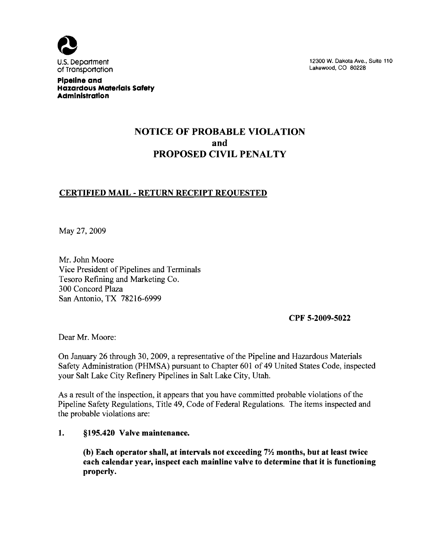

U.S. Department 12300 W. Dakota Ave., Suite 110<br>
of Transportation is a suite 110 of Transportation

Pipeline and Hazardous Materials Safety Administration

# NOTICE OF PROBABLE VIOLATION and PROPOSED CIVIL PENALTY

# CERTIFIED MAIL - RETURN RECEIPT REQUESTED

May 27, 2009

Mr. John Moore Vice President of Pipelines and Terminals Tesoro Refining and Marketing Co. 300 Concord Plaza San Antonio, TX 78216-6999

CPF 5-2009-5022

Dear Mr. Moore:

On January 26 through 30, 2009, a representative of the Pipeline and Hazardous Materials Safety Administration (PHMSA) pursuant to Chapter 601 of 49 United States Code, inspected your Salt Lake City Refinery Pipelines in Salt Lake City, Utah.

As a result of the inspection, it appears that you have committed probable violations of the Pipeline Safety Regulations, Title 49, Code of Federal Regulations. The items inspected and the probable violations are:

### 1. §195.420 Valve maintenance.

(b) Each operator shall, at intervals not exceeding  $7\frac{1}{2}$  months, but at least twice each calendar year, inspect each mainline valve to determine that it is functioning properly.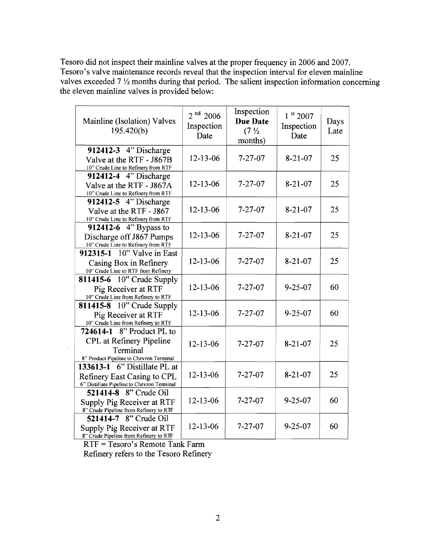Tesoro did not inspect their mainline valves at the proper frequency in 2006 and 2007. Tesoro's valve maintenance records reveal that the inspection interval for eleven mainline valves exceeded  $7\frac{1}{2}$  months during that period. The salient inspection information concerning the eleven mainline valves is provided below:

| Mainline (Isolation) Valves<br>195.420(b)                                                                    | $2^{nd}$ 2006<br>Inspection<br>Date | Inspection<br><b>Due Date</b><br>$(7\frac{1}{2})$<br>months) | 1 st 2007<br>Inspection<br>Date | Days<br>Late |
|--------------------------------------------------------------------------------------------------------------|-------------------------------------|--------------------------------------------------------------|---------------------------------|--------------|
| 912412-3 4" Discharge<br>Valve at the RTF - J867B<br>10" Crude Line to Refinery from RTF                     | $12 - 13 - 06$                      | $7 - 27 - 07$                                                | $8-21-07$                       | 25           |
| 912412-4 4" Discharge<br>Valve at the RTF - J867A<br>10" Crude Line to Refinery from RTF                     | 12-13-06                            | $7 - 27 - 07$                                                | $8-21-07$                       | 25           |
| 912412-5 4" Discharge<br>Valve at the RTF - J867<br>10" Crude Line to Refinery from RTF                      | $12 - 13 - 06$                      | $7 - 27 - 07$                                                | $8 - 21 - 07$                   | 25           |
| 912412-6 $4$ " Bypass to<br>Discharge off J867 Pumps<br>10" Crude Line to Refinery from RTF                  | 12-13-06                            | $7 - 27 - 07$                                                | $8 - 21 - 07$                   | 25           |
| 912315-1 10" Valve in East<br>Casing Box in Refinery<br>10" Crude Line to RTF from Refinery                  | $12 - 13 - 06$                      | $7 - 27 - 07$                                                | $8 - 21 - 07$                   | 25           |
| <b>811415-6</b> 10" Crude Supply<br>Pig Receiver at RTF<br>10" Crude Line from Refinery to RTF               | 12-13-06                            | $7 - 27 - 07$                                                | $9 - 25 - 07$                   | 60           |
| 811415-8 10" Crude Supply<br>Pig Receiver at RTF<br>10" Crude Line from Refinery to RTF                      | $12 - 13 - 06$                      | $7 - 27 - 07$                                                | $9 - 25 - 07$                   | 60           |
| 724614-1 8" Product PL to<br>CPL at Refinery Pipeline<br>Terminal<br>8" Product Pipeline to Chevron Terminal | $12 - 13 - 06$                      | $7 - 27 - 07$                                                | $8-21-07$                       | 25           |
| 133613-1 6" Distillate PL at<br>Refinery East Casing to CPL<br>6" Distillate Pipeline to Chevron Terminal    | $12 - 13 - 06$                      | $7 - 27 - 07$                                                | $8 - 21 - 07$                   | 25           |
| 521414-8 8" Crude Oil<br>Supply Pig Receiver at RTF<br>8" Crude Pipeline from Refinery to RTF                | 12-13-06                            | $7 - 27 - 07$                                                | $9 - 25 - 07$                   | 60           |
| 521414-7 8" Crude Oil<br>Supply Pig Receiver at RTF<br>8" Crude Pipeline from Refinery to RTF                | $12 - 13 - 06$                      | $7 - 27 - 07$                                                | $9 - 25 - 07$                   | 60           |

RTF = Tesoro's Remote Tank Farm

 $\mathcal{L}_{\mathcal{A}}$ 

Refinery refers to the Tesoro Refinery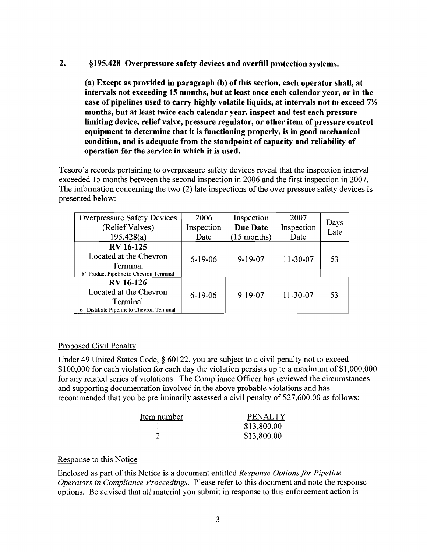### 2. §195.428 Overpressure safety devices and overfill protection systems.

(a) Except as provided in paragraph (b) of this section, each operator shall, at intervals not exceeding 15 months, but at least once each calendar year, or in the case of pipelines used to carry highly volatile liquids, at intervals not to exceed  $7\frac{1}{2}$ months, but at least twice each calendar year, inspect and test each pressure limiting device, relief valve, pressure regulator, or other item of pressure control equipment to determine that it is functioning properly, is in good mechanical condition, and is adequate from the standpoint of capacity and reliability of operation for the service in which it is used.

Tesoro's records pertaining to overpressure safety devices reveal that the inspection interval exceeded 15 months between the second inspection in 2006 and the first inspection in 2007. The information concerning the two (2) late inspections of the over pressure safety devices is presented below:

| <b>Overpressure Safety Devices</b><br>(Relief Valves)                                                | 2006<br>Inspection | Inspection<br>Due Date | 2007<br>Inspection | Days |
|------------------------------------------------------------------------------------------------------|--------------------|------------------------|--------------------|------|
| 195.428(a)                                                                                           | Date               | $(15$ months)          | Date               | Late |
| <b>RV</b> 16-125<br>Located at the Chevron<br>Terminal<br>8" Product Pipeline to Chevron Terminal    | $6-19-06$          | $9 - 19 - 07$          | $11 - 30 - 07$     | 53   |
| <b>RV</b> 16-126<br>Located at the Chevron<br>Terminal<br>6" Distillate Pipeline to Chevron Terminal | $6 - 19 - 06$      | $9 - 19 - 07$          | 11-30-07           | 53   |

#### Proposed Civil Penalty

Under 49 United States Code, § 60122, you are subject to a civil penalty not to exceed \$100,000 for each violation for each day the violation persists up to a maximum of \$1,000,000 for any related series of violations. The Compliance Officer has reviewed the circumstances and supporting documentation involved in the above probable violations and has recommended that you be preliminarily assessed a civil penalty of \$27,600.00 as follows:

| Item number | <b>PENALTY</b> |
|-------------|----------------|
|             | \$13,800.00    |
|             | \$13,800.00    |

# Response to this Notice

Enclosed as part of this Notice is a document entitled *Response Options for Pipeline Operators in Compliance Proceedings.* Please refer to this document and note the response options. Be advised that all material you submit in response to this enforcement action is